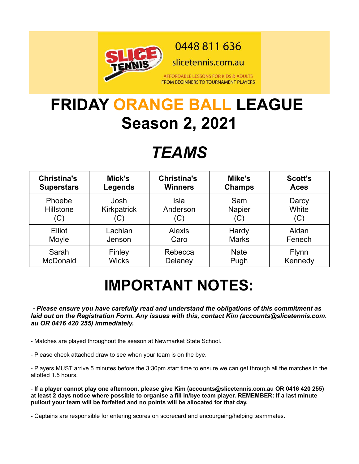

0448 811 636

slicetennis.com.au

AFFORDABLE LESSONS FOR KIDS & ADULTS **FROM BEGINNERS TO TOURNAMENT PLAYERS** 

## **FRIDAY ORANGE BALL LEAGUE Season 2, 2021**

## *TEAMS*

| <b>Christina's</b> | Mick's       | <b>Christina's</b> | Mike's        | <b>Scott's</b> |
|--------------------|--------------|--------------------|---------------|----------------|
| <b>Superstars</b>  | Legends      | <b>Winners</b>     | <b>Champs</b> | <b>Aces</b>    |
| Phoebe             | Josh         | Isla               | Sam           | Darcy          |
| Hillstone          | Kirkpatrick  | Anderson           | <b>Napier</b> | White          |
| (C)                | (C)          | (C)                | (C)           | (C)            |
| Elliot             | Lachlan      | <b>Alexis</b>      | Hardy         | Aidan          |
| Moyle              | Jenson       | Caro               | <b>Marks</b>  | Fenech         |
| Sarah              | Finley       | Rebecca            | <b>Nate</b>   | <b>Flynn</b>   |
| McDonald           | <b>Wicks</b> | Delaney            | Pugh          | Kennedy        |

## **IMPORTANT NOTES:**

 *- Please ensure you have carefully read and understand the obligations of this commitment as laid out on the Registration Form. Any issues with this, contact Kim (accounts@slicetennis.com. au OR 0416 420 255) immediately.*

- Matches are played throughout the season at Newmarket State School.

- Please check attached draw to see when your team is on the bye.

- Players MUST arrive 5 minutes before the 3:30pm start time to ensure we can get through all the matches in the allotted 1.5 hours.

- **If a player cannot play one afternoon, please give Kim (accounts@slicetennis.com.au OR 0416 420 255) at least 2 days notice where possible to organise a fill in/bye team player. REMEMBER: If a last minute pullout your team will be forfeited and no points will be allocated for that day.**

- Captains are responsible for entering scores on scorecard and encourgaing/helping teammates.